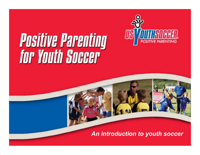

# **Positive Parenting<br>for Youth Soccer**

An Introduction to Youth Soccer *An introduction to youth soccer*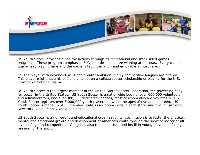

US Youth Soccer provides a healthy activity through its recreational and small sided games programs. These programs emphasize FUN, and de-emphasize winning at all costs. Every child is guaranteed playing time and the game is taught in a fun and enjoyable atmosphere.

For the player with advanced skills and greater ambition, highly competitive leagues are offered. This player might have his or her sights set on a college soccer scholarship or playing for the U.S. Olympic or National teams.

US Youth Soccer is the largest member of the United States Soccer Federation, the governing body for soccer in the United States. US Youth Soccer is a nationwide body of over 600,000 volunteers and administrators, and over 300,000 dedicated coaches, most of whom also are volunteers. US Youth Soccer registers over 3,000,000 youth players between the ages of five and nineteen. US Youth Soccer is made up of 55 member State Associations; one in each state, and two in California, New York, Ohio, Pennsylvania and Texas.

US Youth Soccer is a non-profit and educational organization whose mission is to foster the physical, mental and emotional growth and development of America's youth through the sport of soccer at all levels of age and competition. Our job is also to make it fun, and instill in young players a lifelong passion for the sport.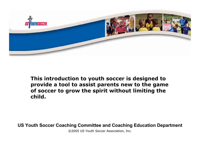

**This introduction to youth soccer is designed to provide a tool to assist parents new to the game of soccer to grow the spirit without limiting the child.**

**US Youth Soccer Coaching Committee and Coaching Education Department**

©2005 US Youth S occer Association, I nc.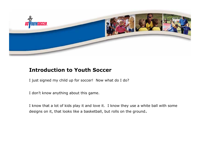

## **Introduction to Youth Soccer**

I just signed my child up for soccer! Now what do I do?

I don't know anything about this game.

I know that a lot of kids play it and love it. I know they use a white ball with som e designs on it, that looks like a basketball, but rolls on the ground.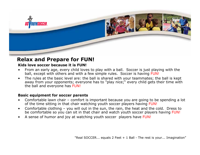

#### **Relax and Prepare for FUN!**

#### **Kids love soccer because it is FUN!**

- •From an early age, every child loves to play with a ball. Soccer is just playing with the ball, except with others and with a few simple rules. Soccer is having FUN!
- •The rules at the basic level are: the ball is shared with your teammates; the ball is kept away from your opponents; everyone has to "play nice;" every child gets their time with the ball and everyone has FUN!

#### **Basic equipment for soccer parents**

- •Comfortable lawn chair – comfort is important because you are going to be spending a lot of the time sitting in that chair watching youth soccer players having FUN!
- •Comfortable clothing – you will out in the sun, the rain, the heat and the cold. Dress to be comfortable so you can sit in that chair and w atch youth soccer players having FUN!
- •A sense of humor and joy at watching youth soccer players have FUN!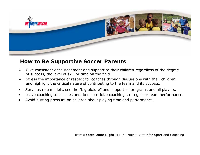

## **How to Be Supportive Soccer Parents**

- •Give consistent encouragement and support to their children regardless of the degree of success, the level of skill or time on the field.
- •Stress the imp ortance of respect for coaches through discussions with their chil dren, and highlight the critical nature of contributing to the team and its success.
- •Serve as role models, see the "big picture" and support all programs and all players.
- •Leave coaching to coaches and do not criticize coaching strategies or team performance.
- •Avoid putting pres sure on c hildren about playing time and perform ance.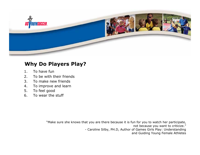

## **Why Do Players Play?**

- 1.To have fun
- 2.To be with their friends
- 3.To make new friends
- 4.To improve and learn
- 5.To feel good
- 6.. To wear the stuff

"Make sure she knows that you are there because it is fun for you to watch her participate, not because you want to criti cize." - Caroline Silby, PH.D, Author of Games Girls Play: Understanding and Guiding Young Female Athletes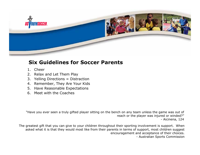

# **Six Guidelines for Soccer Parents**

- 1. Cheer
- 2. Relax and Let Them Play
- 3.. Yelling Directions = Distraction
- 4. Remember, They Are Your Kids
- 5. Have Reasonable Expectations
- 6. Meet with the Coaches

"Have you ever seen a truly gifted player sitting on the bench on any team unless the game was out of reach or t he player was injured or win ded?" - Aicinena, 124

The greatest gift that you can give to your children throughout their sporting involvement is support. When asked what it is that they would most like from their parents in terms of support, most children suggest encouragement and accept a nce of their choices. - Australian Sports Commis sion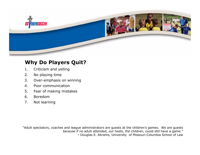

# **Why Do Players Quit?**

- 1.Criticism and yelling
- 2.No playing time
- 3.Over-emphasis on winning
- 4.Poor communication
- 5.Fear of making mistakes
- 6.Boredom
- 7.Not learning

"Adult spectators, coaches and league administrators are guests at the children's g ames. We are guests because if no adult attended, our hosts, the children, could still have a game." **-** Douglas E. Abrams, University of Missouri-Col umbia School of Law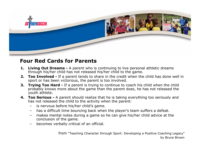

#### **Four Red Cards for Parents**

- **1. Living Out Dreams -** A parent who is continuing to live personal athletic dreams through his/her child has not released his/her child to the game.
- **2. Too Involved -** If a parent tends to share in the credit when the child has done well in sport or has been victorious, the parent is too involved.
- **3.Trying Too Hard -** If a parent is trying to continue to coach his child when the child probably knows more about the game than the p arent does, he has not rel eased the youth athlete.
- **4. Too Serious -** A parent should realize that he is taking everything too seriously and has not released the child to the activity when the parent:
	- –is nervous before his/her child's game.
	- –has a difficult time bouncing back when the player's team suffers a defeat.
	- –makes mental notes during a game so he can give his/her child advice at the concl usion of the game.
	- –becomes verbally critical of an official.

from "Teaching Character through Sport: Developing a Positive Coaching Legacy" by Bruce Brown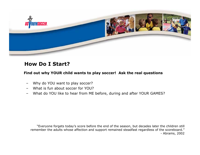

#### **How Do I Start?**

#### **Find out why YOUR child wants to play soccer! Ask the real questions**

- Why do YOU want to play soccer?
- –What is fun about soccer for YOU?
- What do YOU like to hear from ME before, during and after YOUR GAMES?

"Everyone forgets today's score before the end of the season, but decades later the children still remember the adults whose affection and support remained steadfast regardless of the scoreboard." - Abrams, 2002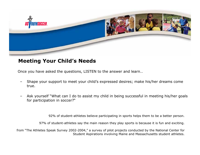

#### **Meeting Your Child's Needs**

Once you have asked the questions, LISTEN to the answer and learn…

- Shape your support to meet your child's expressed desires; make his/her dreams come true.
- Ask yourself "What can I do to assist my child in being successful in meeting his/her goals for parti cipati on i n soccer?"

92% of student-athletes believe participating in sports helps them to be a better person.

97% of student-athletes say the main reason they pla y s ports is b ecause it is fun and exciting.

from "The Athletes Speak Survey 2002-2004," a survey of pilot projects conducted b y t he National Center for Student Aspirations involving Maine and Massachusetts student athletes.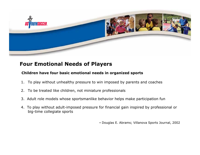

## **Four Emotional Needs of Players**

#### **Children have fou r basic emotional needs in organized sports**

- 1.To play without unhealthy pressure to win imposed by parents and coaches
- 2.To be treated like children, not miniature p rofessionals
- 3. Adult role models whose sportsmanlike behavior helps make partici pation fun
- 4. To play without adult-imposed pressure for financial gain inspired by professional or big-time collegiate sports

**-** Douglas E. Abrams; Villanova Sport s Journ al, 2002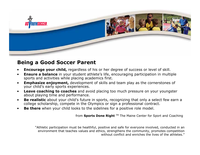

## **Being a Good Soccer Parent**

- •**Encourage your child,** regardless of his or her degree of success or level of skill.
- • **Ensure a balance** in your student athlete's life, encouraging participation in multiple sports and activities w hile placing academics first.
- • **Emphasize enjoyment,** development of skills and team play as the cornerstones of your child's early sports experie nces.
- •**• Leave coaching to coaches** and avoid placing too much pressure on your youngster about playing time and perform ance.
- •• Be realistic about your child's future in sports, recognizing that only a select few earn a college scholarship, compete in the Olympics or sign a professional contract.
- •• Be there when your child looks to the sidelines for a positive role model.

from **Sports Done Right** TM The Maine Center for Sport and Coaching

"Athletic participation must b e healthful, positive and s afe for everyone involved, conducted in an environment that t eaches values and ethics, strengthens the community, promotes competition without conflict and enriches the lives of the athletes."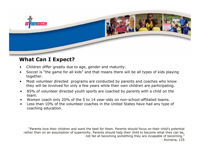

#### **What Can I Expect?**

- •Children differ greatly due to age, gender and maturity.
- • Soccer is "the game for all kids" and that means there will be all types of kids playing together.
- • Most volunteer directed programs are conducted by parents and coaches who know they will be involved for only a few years while their own children are participating.
- • 85% of volunteer directed youth sports are coached by parents with a child on the team.
- •Women coach only 20% of the 5 to 14 year-olds on non-school-affiliated teams.
- • Less than 10% of the volunteer coaches in the United States have had any type of coaching education.

"Parents love their children and want the best for them. Parents should focus on their child's potential rather than on an assumption of superiority. Parents should help their child to become what they can be, not fail at becoming something they are incapable of becoming." - Aicinena, 125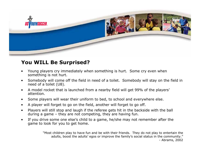

# **You WILL Be Surprised?**

- • Young players cry immediately when something is hurt. Some cry even when something is not hurt.
- • Somebody will come off the field in need of a toilet. Somebody will stay on the field in need of a toilet (U8).
- • A model rocket that is launched from a nearby field will get 99% of the players' attention.
- $\bullet$ Some players will wear their uniform to bed, to school and everywhere else.
- •A player will forget to go on the field, another will forget to go off.
- • Players will still stop and laugh if the referee gets hit in the backside with the ball during a game – they are not competing, they are having fun.
- • If you drive some one else's child to a game, he/she may not remember after the game to look for you to get home.

"Most children play to have fun and be with their friends. They do not play to entertain the adults, boost the adults' egos or improve the family's social status in the community." - Abrams, 2002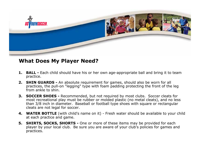

#### **What Does My Player Need?**

- **1. BALL -** Each child should have his or her own age-appropriate ball and bring it to team practice.
- **2. SHIN GUARDS -** An absolute requirement for games, should also be worn for all practices, the pull-on "legging" type with foam padding protecting the front of the leg from ankle to shin.
- **3. SOCCER SHOES -** Recommended, but not required by most clubs. Soccer cleats for most recreational play must be rubber or molded plastic (no metal cleats), and no less than 3/8 inch in diameter. Baseball or football type shoes with square or rectangular cleats are not legal for soccer.
- **4. WATER BOTTLE** (with child's name on it) Fresh water should be available to your child at each practice and game.
- **5. SHIRTS, SOCKS, SHORTS -** One or more of these items may be provided for each player by your local club. Be sure you are aware of your club's policies for games and practices.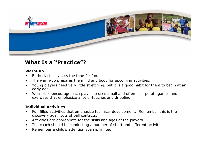

## **What Is a "Practice"?**

#### **Warm-up**

- •Enthusiastically s ets the tone for fun.
- •The warm-up prepares the mind and body for upcoming activities.
- •Young players need very little stretching, but it is a good habit for them to begin at an early age.
- •Warm-ups encourage each player to uses a ball and often incorporate games and exercises that emphasize a lot o f to u c h e s and dribbling.

#### **Individual Activities**

- •Fun filled activities that emphasize technical development. Remember this is the discovery age. Lots of ball contacts.
- •Activities are appropriate for the skills and ages of the players.
- •The coach shoul d be conducting a num ber of short and different activities.
- •Remember a child's attention span is limited.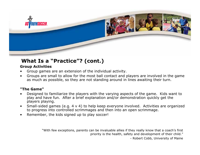

# **What Is a "Practice"? (cont.)**

#### **Group Activities**

- •Group games are an ext ension of the individual activity.
- •Groups are small to allow for the most ball contact and players are involved in the game as much as possible, so they are not standing around in lines awaiting their turn.

#### **"The Game"**

- •Designed to familiarize the players with the varying aspects of the game. Kids w ant to play and have fun. After a brief explanation and/or dem onstration quickly get the players playing.
- •Small-sided games (e.g. 4 v 4) to help keep everyone involved. Activities are organized to progress into controlled scrimmages and the n i nto an ope n scrimmag e.
- •Remember, the kids signed up to play soccer!

"With few exceptions, parents can be invaluable allies if they really know that a coach's first priority is the health, safety and development of their child."

- Robert Cobb, University of Maine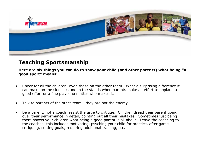

## **Teaching Sportsmanship**

**Here are six things you can do to show your child (and other parents) what being "a good s port" m eans:**

- •Cheer for all the children, even those on the other team. What a surprising difference it can make on the sidelines and in the stands whe n parents make an effort to appla ud a good effort or a fine play - no matter who makes it.
- •Talk to parents of the other team - they are not the enemy.
- •Be a parent, not a coach: resist the urge to critique. Children dread their parent going over their performance in detail, pointing out all their mistakes. Som etimes just being there shows your children what being a good parent is all about. Leave the coaching to the coaches: this includes motivating, psyching your child for practice, after game critiquing, setting goals, requiring additional training, etc.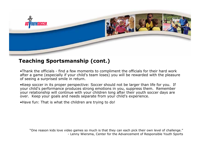

## **Teaching Sportsmanship (cont.)**

•Thank the officials - find a few moments to compliment the officials for their hard work after a game (especially if your child's team loses) you will be reward e d wit h the pleasure of seeing a surprised smile in return.

•Keep soccer in its proper perspective: Soccer should not be larger than life for you. If your child's performance produces strong emotions in you, suppress them. Remember your relationship will continue with your children long after their youth soccer days are over. Keep your goals and needs separate from your child's experience.

•Have fun: That is what the children are trying to do!

"One reason kids love video games so much is t hat they can each pick their own level of challenge." - Lenny Wiers ma, Center for the Advancement of Responsible Youth Sports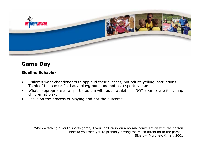

## **Game Day**

#### **Sideline Behavior**

- • Children want cheerleaders to applaud their success, not adults yelling instructions. Think of the soccer field as a playground and not as a sports venue.
- • What's appropriate at a sport stadium with adult athletes is NOT appropriate for young children at play.
- •Focus on the process of playing and not the outcome.

"When watching a youth sports game, if you can't carry on a normal conversation with the person next to you then you're probably paying too much attention to the game." Bigelow, Moroney, & Hall, 2001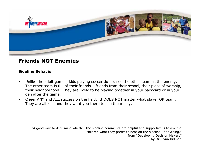

#### **Friends NOT Enemies**

#### **Sideline Behavior**

- •Unlike the adult games, kids playing soccer do not see the other team as the enemy. The other team is full of their friends – friends from their school, their place of worship, their neighborhood. They are likely to be playing together in your backyard or in your den after the game.
- •Che e r ANY and ALL success on the field. It DOES NOT matter w hat player OR team. They are all kids and they want you there to see them play.

"A good way to determine whether the sideline comments are helpful and supportive is to ask the children what they prefer to hear on t he sideline, if anything." from "Developing Decision Makers" by Dr. Lynn Kidma n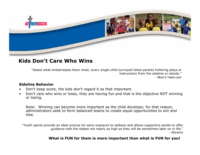

#### **Kids Don't Care Who Wins**

"Asked what embarrasses them most, every single child surveyed listed parents hollering plays or instructions from the sideline or stands."- Mom's Team.com

#### **Sideline Behavior**

- •Don't keep score, the kids don't regard it as that important.
- •Don't care who wins or loses, they are having fun and that is the objective NOT winning or losing.

Note: Winning can become more important as the child develops; for that reason, administrators seek to form balanced teams to create equal opportunities to win and lose.

"Youth sports provide an ideal avenue for early exposure to setback and allows supportive adults to offer guidance with the stakes not nearly as high as they will be sometimes later on in life." - Abrams

#### **What is FUN for them is more important than what is FUN for you!**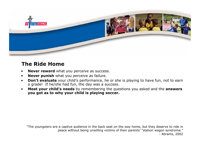

## **The Ride Home**

- •**Never reward** what you perceive as success.
- •**Never punish** what you perceive as failure.
- •**Don't evaluate** your child's performance, he or she is playing to have fun, not to earn a grade! If he/she had fun, the day was a success.
- • **Meet your child's needs** by remembering the questions you asked and the **answers you got as to why your child is playing soccer.**

"The youngsters are a captive audience in the back seat on the way home, but they deserve to ride in peace without being unwilling victims of their parents' "station wagon syndrome." - Abrams, 2002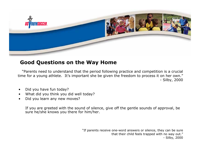

# **Good Questions on the Way Home**

"Parents need to understand that the period following practice and competition is a crucial time for a young athlete. It's important she be given the free d o m to process it on her own." - Silby, 2000

- •Did you have fun today?
- •What did you thi nk you did w ell today?
- •Did you learn any new moves?

If you are greeted with the sound of silence, give off the gentle sounds of approval, be sure he/ she knows you the re for him/her.

> "If parents receive one-word answers or silence, they can be sure that their child feels trapped with no w ay out." - Silby, 2000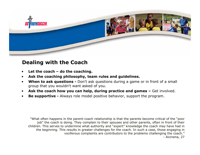

## **Dealing with the Coach**

- •**Let the coach –do the coaching.**
- •**Ask the coaching philosophy, team rules and guidelines.**
- •• When to ask questions - Don't ask questions during a game or in front of a small g roup that you w oul d<sup>n</sup>'t want asked of you.
- •**Ask the coach how you can help, during practice and games –** Get involved.
- •**Be supportive -** Always role model positive behavior, support the program.

"What often happens in the parent-coach relationship is that the p arents become critical of the "poor job" the coach is doing. They complain to their spouses and other p arents, often in front of their children. This serves to undermine what authority and "expert" knowledge the coach may have had in the beginning. This results in greater challenges for the coach. In such a case, those engaging in vociferou s complaints are contributors to the problems challenging the coach." - Aicinena, 27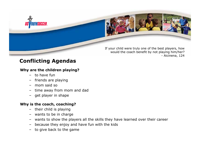

If your child were truly one of the best players, how would the coach benefit by not playing him/her? - Aicinena, 124

# **Conflicting Agendas**

#### **Why are the children playing?**

- to have fun
- –friends are playing
- –mom said so
- –time away from mom and dad
- get player in shape

#### **Why is the coach, coaching?**

- their child is playing
- –wants to be in charge
- –wants to show the players all the skills they have learned over their career
- –because they enjoy and have fun with the kids
- to give back to the game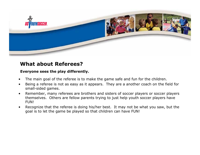

## **What about Referees?**

#### **Everyone sees the play differently.**

- •The main goal of the referee is to make the game safe and fun for the children.
- • Being a referee is not as easy as it appears. They are a another coach on the field for small-sided games.
- • Remember, many referees are brothers and sisters of soccer players or soccer players themselves. Others are fellow parents trying to just help youth soccer players have FUN!
- • Recognize that the referee is doing his/her best. It may not be what you saw, but the goal is to let the game be played so that children can have FUN!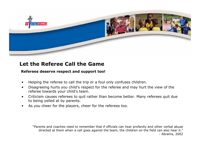

## **Let the Referee Call the Game**

#### **Referees deserve respect and support too!**

- •Helping the referee to call the trip or a foul only confuses c hildren.
- •Disagreeing hurts you child's respect for the referee and may hurt the view of the referee towards your child's team.
- •Criticism causes referees to quit rather than become better. Many referees quit due to being yelled at by parents.
- •As you cheer for the players, cheer for the referees too.

"Parents and coaches need to remember that if officials can hear profanity and other verbal abuse directed at them when a call goes against the team, the children on the field can also hear it." - Abrams, 2002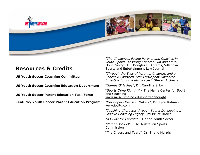

#### **Resources & Credits**

**US Youth Soccer Coaching Committee**

**US Youth Soccer Coaching Education Department**

**US Youth Soccer Parent Education Task Force**

**Kentucky Youth Soccer Parent Education Program**

*"The Challenges Facing Parents and Coaches in Youth Sports: Assuring Children Fun and Equal Opportunity",* Dr. Douglas E. Abrams, Villanova Sports and Entertainment Law Journal

*"Through the Eyes of Parents, Children, and a Coach: A Fourteen-Year Participant-Observer Investigation of Youth Soccer",* Steven Aicinena

"*Games Girls Play*", Dr. Caroline Silby

"*Sports Done Right*" TM - The Maine Center for Sport and Coaching

www.mcsc.umaine.edu/sportsdoneright

"*Developing Decision Makers*", Dr. Lynn Kidman, www.ipcltd.com

*"Teaching Character through Sport: Developing a Positive Coaching Legacy",* by Bruce Brown

"*A Guide for Parents*" – Florida Youth Soccer

"Parent Booklet" - The Australian Sports Commission

"The Cheers and Tears", Dr. Shane Murphy